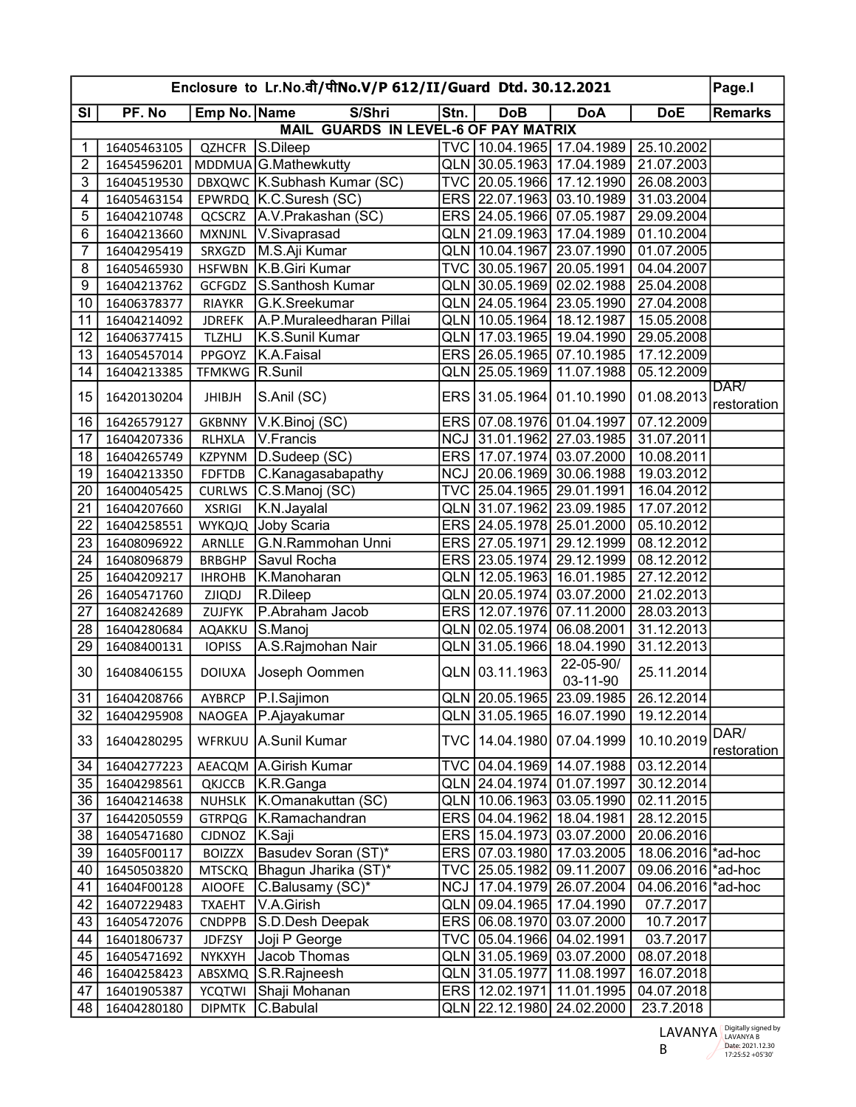| Enclosure to Lr.No.वी/पीNo.V/P 612/II/Guard Dtd. 30.12.2021 |                |                |                                      |            |                               |                                        | Page.I                  |                |
|-------------------------------------------------------------|----------------|----------------|--------------------------------------|------------|-------------------------------|----------------------------------------|-------------------------|----------------|
| SI                                                          | PF. No         | Emp No. Name   | S/Shri                               | Stn.       | <b>DoB</b>                    | <b>DoA</b>                             | <b>DoE</b>              | <b>Remarks</b> |
|                                                             |                |                | MAIL GUARDS IN LEVEL-6 OF PAY MATRIX |            |                               |                                        |                         |                |
| 1                                                           | 16405463105    | <b>QZHCFR</b>  | S.Dileep                             |            |                               | TVC 10.04.1965 17.04.1989   25.10.2002 |                         |                |
| $\overline{2}$                                              | 16454596201    |                | MDDMUA G.Mathewkutty                 |            | QLN 30.05.1963 17.04.1989     |                                        | 21.07.2003              |                |
| $\overline{3}$                                              | 16404519530    |                | DBXQWC K.Subhash Kumar (SC)          |            | TVC 20.05.1966 17.12.1990     |                                        | 26.08.2003              |                |
| 4                                                           | 16405463154    |                | EPWRDQ K.C.Suresh (SC)               |            | ERS 22.07.1963 03.10.1989     |                                        | 31.03.2004              |                |
| 5                                                           | 16404210748    |                | QCSCRZ   A.V. Prakashan (SC)         |            | ERS 24.05.1966 07.05.1987     |                                        | 29.09.2004              |                |
| 6                                                           | 16404213660    |                | MXNJNL V.Sivaprasad                  |            | QLN 21.09.1963 17.04.1989     |                                        | 01.10.2004              |                |
| $\overline{7}$                                              | 16404295419    | SRXGZD         | M.S.Aji Kumar                        |            | QLN 10.04.1967 23.07.1990     |                                        | 01.07.2005              |                |
| 8                                                           | 16405465930    | <b>HSFWBN</b>  | K.B.Giri Kumar                       |            | TVC 30.05.1967 20.05.1991     |                                        | 04.04.2007              |                |
| 9                                                           | 16404213762    | GCFGDZ         | S.Santhosh Kumar                     |            | QLN 30.05.1969 02.02.1988     |                                        | 25.04.2008              |                |
| 10                                                          | 16406378377    | <b>RIAYKR</b>  | G.K.Sreekumar                        |            | QLN 24.05.1964 23.05.1990     |                                        | 27.04.2008              |                |
| 11                                                          | 16404214092    | <b>JDREFK</b>  | A.P.Muraleedharan Pillai             |            | QLN 10.05.1964                | 18.12.1987                             | 15.05.2008              |                |
| 12                                                          | 16406377415    | <b>TLZHLJ</b>  | K.S.Sunil Kumar                      |            | QLN 17.03.1965 19.04.1990     |                                        | 29.05.2008              |                |
| 13                                                          | 16405457014    | PPGOYZ         | K.A.Faisal                           |            | ERS 26.05.1965 07.10.1985     |                                        | 17.12.2009              |                |
| 14                                                          | 16404213385    | TFMKWG R.Sunil |                                      |            | QLN 25.05.1969 11.07.1988     |                                        | 05.12.2009              |                |
|                                                             |                |                |                                      |            |                               |                                        |                         | DAR/           |
| 15                                                          | 16420130204    | <b>JHIBJH</b>  | S.Anil (SC)                          |            | ERS 31.05.1964 01.10.1990     |                                        | 01.08.2013              | restoration    |
| 16                                                          | 16426579127    | <b>GKBNNY</b>  | V.K.Binoj (SC)                       |            | ERS 07.08.1976 01.04.1997     |                                        | 07.12.2009              |                |
| 17                                                          | 16404207336    | RLHXLA         | V.Francis                            |            | NCJ 31.01.1962 27.03.1985     |                                        | 31.07.2011              |                |
| 18                                                          | 16404265749    | <b>KZPYNM</b>  | D.Sudeep (SC)                        |            | ERS 17.07.1974 03.07.2000     |                                        | 10.08.2011              |                |
| 19                                                          | 16404213350    | <b>FDFTDB</b>  | C.Kanagasabapathy                    |            | NCJ 20.06.1969 30.06.1988     |                                        | 19.03.2012              |                |
| 20                                                          | 16400405425    |                | CURLWS C.S.Manoj (SC)                |            | TVC 25.04.1965 29.01.1991     |                                        | 16.04.2012              |                |
| 21                                                          | 16404207660    | <b>XSRIGI</b>  | K.N.Jayalal                          |            | QLN 31.07.1962 23.09.1985     |                                        | 17.07.2012              |                |
| 22                                                          | 16404258551    |                | WYKQJQ Joby Scaria                   |            | ERS 24.05.1978 25.01.2000     |                                        | 05.10.2012              |                |
| 23                                                          | 16408096922    | ARNLLE         | G.N.Rammohan Unni                    |            | ERS 27.05.1971 29.12.1999     |                                        | 08.12.2012              |                |
| 24                                                          | 16408096879    | <b>BRBGHP</b>  | Savul Rocha                          |            | ERS 23.05.1974                | 29.12.1999                             | 08.12.2012              |                |
| 25                                                          | 16404209217    | <b>IHROHB</b>  | K.Manoharan                          |            | QLN 12.05.1963 16.01.1985     |                                        | 27.12.2012              |                |
| 26                                                          | 16405471760    | <b>ZJIQDJ</b>  | R.Dileep                             |            | QLN 20.05.1974 03.07.2000     |                                        | 21.02.2013              |                |
| 27                                                          | 16408242689    | ZUJFYK         | P.Abraham Jacob                      |            | ERS 12.07.1976 07.11.2000     |                                        | 28.03.2013              |                |
| 28                                                          | 16404280684    | <b>AQAKKU</b>  | S.Manoj                              |            | QLN 02.05.1974                | 06.08.2001                             | 31.12.2013              |                |
| 29                                                          | 16408400131    | <b>IOPISS</b>  | A.S.Rajmohan Nair                    | <b>QLN</b> | 31.05.1966                    | 18.04.1990                             | 31.12.2013              |                |
|                                                             |                |                |                                      |            |                               | 22-05-90/                              |                         |                |
| 30                                                          | 16408406155    | <b>DOIUXA</b>  | Joseph Oommen                        |            | QLN 03.11.1963                | 03-11-90                               | 25.11.2014              |                |
|                                                             | 31 16404208766 |                | AYBRCP P.I.Sajimon                   |            |                               | QLN 20.05.1965 23.09.1985 26.12.2014   |                         |                |
| 32                                                          | 16404295908    |                | NAOGEA   P.Ajayakumar                |            | QLN 31.05.1965 16.07.1990     |                                        | 19.12.2014              |                |
|                                                             |                |                |                                      |            |                               |                                        |                         | DAR/           |
| 33                                                          | 16404280295    | WFRKUU         | A.Sunil Kumar                        | TVC.       | 14.04.1980   07.04.1999       |                                        | 10.10.2019              | restoration    |
| 34                                                          | 16404277223    |                | AEACQM   A. Girish Kumar             |            | TVC 04.04.1969 14.07.1988     |                                        | 03.12.2014              |                |
| 35                                                          | 16404298561    | QKJCCB         | K.R.Ganga                            |            | QLN 24.04.1974 01.07.1997     |                                        | 30.12.2014              |                |
| 36                                                          | 16404214638    | <b>NUHSLK</b>  | K.Omanakuttan (SC)                   |            | QLN 10.06.1963 03.05.1990     |                                        | $\overline{02.11}.2015$ |                |
| 37                                                          | 16442050559    |                | GTRPQG   K.Ramachandran              |            | ERS 04.04.1962 18.04.1981     |                                        | 28.12.2015              |                |
| 38                                                          | 16405471680    | CJDNOZ         | K.Saji                               |            | ERS   15.04.1973   03.07.2000 |                                        | 20.06.2016              |                |
| 39                                                          | 16405F00117    | <b>BOIZZX</b>  | Basudev Soran (ST)*                  |            | ERS 07.03.1980 17.03.2005     |                                        | 18.06.2016 ad-hoc       |                |
| 40                                                          | 16450503820    |                | MTSCKQ Bhagun Jharika (ST)*          |            | TVC   25.05.1982   09.11.2007 |                                        | 09.06.2016 ad-hoc       |                |
| 41                                                          | 16404F00128    | <b>AIOOFE</b>  | C.Balusamy (SC)*                     |            | NCJ   17.04.1979   26.07.2004 |                                        | 04.06.2016 ad-hoc       |                |
| 42                                                          | 16407229483    | <b>TXAEHT</b>  | V.A.Girish                           |            | QLN 09.04.1965 17.04.1990     |                                        | 07.7.2017               |                |
| 43                                                          | 16405472076    | <b>CNDPPB</b>  | S.D.Desh Deepak                      |            | ERS 06.08.1970 03.07.2000     |                                        | 10.7.2017               |                |
| 44                                                          | 16401806737    | <b>JDFZSY</b>  | Joji P George                        |            | TVC 05.04.1966 04.02.1991     |                                        | 03.7.2017               |                |
| 45                                                          | 16405471692    | <b>NYKXYH</b>  | Jacob Thomas                         |            |                               |                                        | 08.07.2018              |                |
| 46                                                          | 16404258423    | ABSXMQ         | S.R.Rajneesh                         |            | QLN 31.05.1977                | 11.08.1997                             | 16.07.2018              |                |
| 47                                                          | 16401905387    | <b>YCQTWI</b>  | Shaji Mohanan                        |            | ERS 12.02.1971                | 11.01.1995                             | 04.07.2018              |                |
| 48                                                          | 16404280180    | <b>DIPMTK</b>  | C.Babulal                            |            | QLN 22.12.1980 24.02.2000     |                                        | 23.7.2018               |                |
|                                                             |                |                |                                      |            |                               |                                        |                         |                |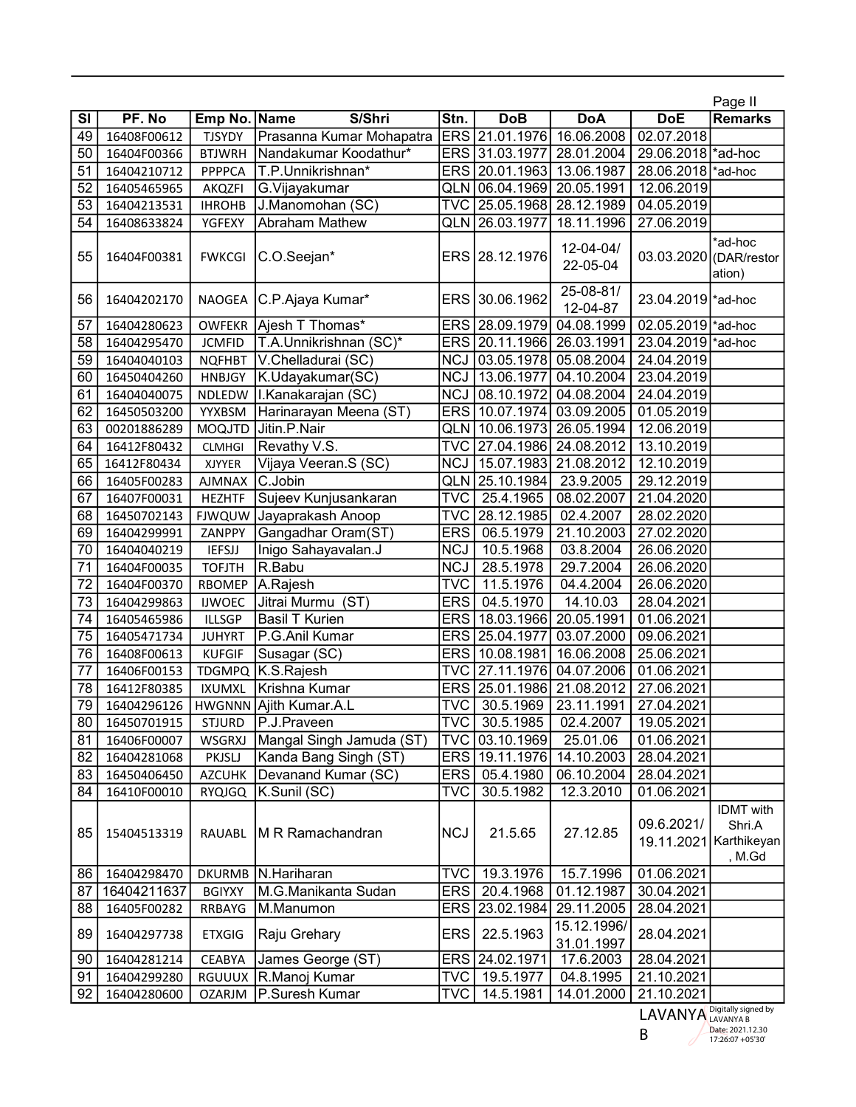|                          |             |               |                          |                         |                 |                           |                        | Page II                                                        |
|--------------------------|-------------|---------------|--------------------------|-------------------------|-----------------|---------------------------|------------------------|----------------------------------------------------------------|
| $\overline{\mathsf{SI}}$ | PF. No      | Emp No. Name  | S/Shri                   | Stn.                    | <b>DoB</b>      | <b>DoA</b>                | <b>DoE</b>             | <b>Remarks</b>                                                 |
| 49                       | 16408F00612 | <b>TJSYDY</b> | Prasanna Kumar Mohapatra | <b>ERS</b>              | 21.01.1976      | 16.06.2008                | 02.07.2018             |                                                                |
| 50                       | 16404F00366 | <b>BTJWRH</b> | Nandakumar Koodathur*    | <b>ERS</b>              | 31.03.1977      | 28.01.2004                | 29.06.2018 ad-hoc      |                                                                |
| 51                       | 16404210712 | <b>PPPPCA</b> | T.P.Unnikrishnan*        |                         | ERS 20.01.1963  | 13.06.1987                | 28.06.2018 ad-hoc      |                                                                |
| 52                       | 16405465965 | AKQZFI        | G.Vijayakumar            |                         | QLN 06.04.1969  | 20.05.1991                | 12.06.2019             |                                                                |
| 53                       | 16404213531 | <b>IHROHB</b> | J.Manomohan (SC)         | <b>TVC</b>              | 25.05.1968      | 28.12.1989                | 04.05.2019             |                                                                |
| 54                       | 16408633824 | YGFEXY        | Abraham Mathew           | QLN                     | 26.03.1977      | 18.11.1996                | 27.06.2019             |                                                                |
| 55                       | 16404F00381 | <b>FWKCGI</b> | C.O.Seejan*              | <b>ERS</b>              | 28.12.1976      | 12-04-04/<br>22-05-04     | 03.03.2020 (DAR/restor | *ad-hoc<br>ation)                                              |
| 56                       | 16404202170 | <b>NAOGEA</b> | C.P.Ajaya Kumar*         | ERS                     | 30.06.1962      | 25-08-81/<br>12-04-87     | 23.04.2019 ad-hoc      |                                                                |
| 57                       | 16404280623 | <b>OWFEKR</b> | Ajesh T Thomas*          | <b>ERS</b>              | 28.09.1979      | 04.08.1999                | 02.05.2019 ad-hoc      |                                                                |
| 58                       | 16404295470 | <b>JCMFID</b> | T.A.Unnikrishnan (SC)*   | <b>ERS</b>              | 20.11.1966      | 26.03.1991                | 23.04.2019 ad-hoc      |                                                                |
| 59                       | 16404040103 | <b>NQFHBT</b> | V.Chelladurai (SC)       | <b>NCJ</b>              | 03.05.1978      | 05.08.2004                | 24.04.2019             |                                                                |
| 60                       | 16450404260 | <b>HNBJGY</b> | K.Udayakumar(SC)         | <b>NCJ</b>              | 13.06.1977      | 04.10.2004                | 23.04.2019             |                                                                |
| 61                       | 16404040075 | NDLEDW        | I.Kanakarajan (SC)       | <b>NCJ</b>              | 08.10.1972      | 04.08.2004                | 24.04.2019             |                                                                |
| 62                       | 16450503200 | YYXBSM        | Harinarayan Meena (ST)   |                         | ERS 10.07.1974  | 03.09.2005                | 01.05.2019             |                                                                |
| 63                       | 00201886289 | <b>MOQJTD</b> | Jitin.P.Nair             | <b>QLN</b>              | 10.06.1973      | 26.05.1994                | 12.06.2019             |                                                                |
| 64                       | 16412F80432 | <b>CLMHGI</b> | Revathy V.S.             |                         | TVC 27.04.1986  | 24.08.2012                | 13.10.2019             |                                                                |
| 65                       | 16412F80434 | <b>XJYYER</b> | Vijaya Veeran.S (SC)     | <b>NCJ</b>              | 15.07.1983      | 21.08.2012                | 12.10.2019             |                                                                |
| 66                       | 16405F00283 | <b>AJMNAX</b> | C.Jobin                  |                         | QLN 25.10.1984  | 23.9.2005                 | 29.12.2019             |                                                                |
| 67                       | 16407F00031 | <b>HEZHTF</b> | Sujeev Kunjusankaran     | <b>TVC</b>              | 25.4.1965       | 08.02.2007                | 21.04.2020             |                                                                |
| 68                       | 16450702143 | <b>FJWQUW</b> | Jayaprakash Anoop        | <b>TVC</b>              | 28.12.1985      | 02.4.2007                 | 28.02.2020             |                                                                |
| 69                       | 16404299991 | ZANPPY        | Gangadhar Oram(ST)       | <b>ERS</b>              | 06.5.1979       | 21.10.2003                | 27.02.2020             |                                                                |
| 70                       | 16404040219 | <b>IEFSJJ</b> | Inigo Sahayavalan.J      | <b>NCJ</b>              | 10.5.1968       | 03.8.2004                 | 26.06.2020             |                                                                |
| 71                       | 16404F00035 | <b>TOFJTH</b> | R.Babu                   | <b>NCJ</b>              | 28.5.1978       | 29.7.2004                 | 26.06.2020             |                                                                |
| $\overline{72}$          | 16404F00370 | <b>RBOMEP</b> | A.Rajesh                 | $\overline{\text{TVC}}$ | 11.5.1976       | 04.4.2004                 | 26.06.2020             |                                                                |
| 73                       | 16404299863 | <b>IJWOEC</b> | Jitrai Murmu<br>(ST)     | <b>ERS</b>              | 04.5.1970       | 14.10.03                  | 28.04.2021             |                                                                |
| 74                       | 16405465986 | <b>ILLSGP</b> | <b>Basil T Kurien</b>    | <b>ERS</b>              | 18.03.1966      | 20.05.1991                | 01.06.2021             |                                                                |
| 75                       | 16405471734 | <b>JUHYRT</b> | P.G.Anil Kumar           | <b>ERS</b>              | 25.04.1977      | 03.07.2000                | 09.06.2021             |                                                                |
| 76                       | 16408F00613 | <b>KUFGIF</b> | Susagar (SC)             | <b>ERS</b>              | 10.08.1981      | 16.06.2008                | 25.06.2021             |                                                                |
| 77                       | 16406F00153 | <b>TDGMPQ</b> | K.S.Rajesh               | <b>TVC</b>              | 27.11.1976      | 04.07.2006                | 01.06.2021             |                                                                |
| 78                       | 16412F80385 | <b>IXUMXL</b> | Krishna Kumar            |                         | ERS 25.01.1986  | 21.08.2012                | 27.06.2021             |                                                                |
| 79                       | 16404296126 |               | HWGNNN Ajith Kumar.A.L   | <b>TVC</b>              | 30.5.1969       | 23.11.1991                | 27.04.2021             |                                                                |
| 80                       | 16450701915 | <b>STJURD</b> | P.J.Praveen              | <b>TVC</b>              | 30.5.1985       | 02.4.2007                 | 19.05.2021             |                                                                |
| 81                       | 16406F00007 | WSGRXJ        | Mangal Singh Jamuda (ST) |                         | TVC 03.10.1969  | 25.01.06                  | 01.06.2021             |                                                                |
| 82                       | 16404281068 | PKJSLJ        | Kanda Bang Singh (ST)    |                         | ERS 19.11.1976  | 14.10.2003                | 28.04.2021             |                                                                |
| 83                       | 16450406450 | <b>AZCUHK</b> | Devanand Kumar (SC)      |                         | ERS 05.4.1980   | 06.10.2004                | 28.04.2021             |                                                                |
| 84                       | 16410F00010 | RYQJGQ        | K.Sunil (SC)             | TVC                     | 30.5.1982       | 12.3.2010                 | 01.06.2021             |                                                                |
| 85                       | 15404513319 | RAUABL        | M R Ramachandran         | <b>NCJ</b>              | 21.5.65         | 27.12.85                  | 09.6.2021/             | <b>IDMT</b> with<br>Shri.A<br>19.11.2021 Karthikeyan<br>, M.Gd |
| 86                       | 16404298470 |               | DKURMB N. Hariharan      |                         | TVC   19.3.1976 | 15.7.1996                 | 01.06.2021             |                                                                |
| 87                       | 16404211637 | <b>BGIYXY</b> | M.G.Manikanta Sudan      |                         | ERS 20.4.1968   | 01.12.1987                | 30.04.2021             |                                                                |
| 88                       | 16405F00282 | RRBAYG        | M.Manumon                |                         | ERS 23.02.1984  | 29.11.2005                | 28.04.2021             |                                                                |
| 89                       | 16404297738 | <b>ETXGIG</b> | Raju Grehary             | <b>ERS</b>              | 22.5.1963       | 15.12.1996/<br>31.01.1997 | 28.04.2021             |                                                                |
| 90                       | 16404281214 | CEABYA        | James George (ST)        | ERS                     | 24.02.1971      | 17.6.2003                 | 28.04.2021             |                                                                |
| 91                       | 16404299280 |               | RGUUUX R.Manoj Kumar     | <b>TVC</b>              | 19.5.1977       | 04.8.1995                 | 21.10.2021             |                                                                |
| 92                       | 16404280600 | <b>OZARJM</b> | P.Suresh Kumar           | <b>TVC</b>              | 14.5.1981       | 14.01.2000                | 21.10.2021             |                                                                |

LAVANYA Digitally signed by LAVANYA B Date: 2021.12.30 17:26:07 +05'30'

B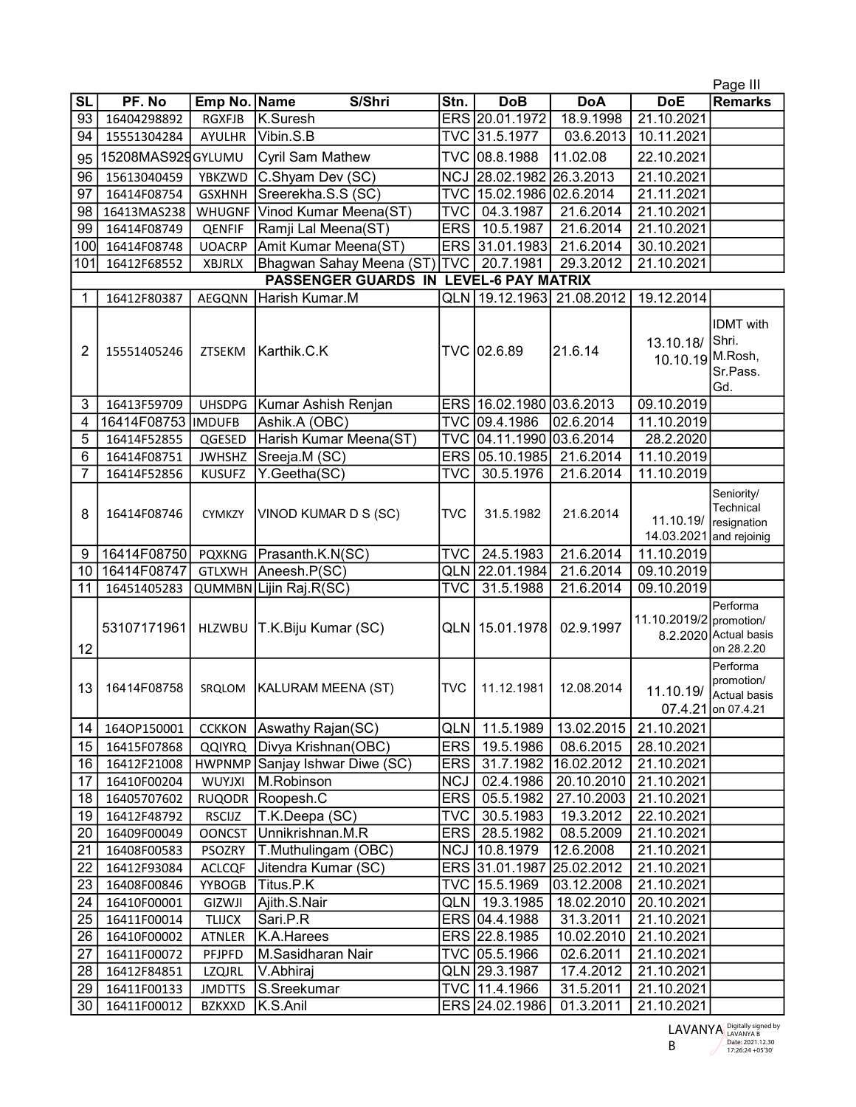|                                                         |                            |                                |                                |            |                                |                        |                                | Page III                                                     |
|---------------------------------------------------------|----------------------------|--------------------------------|--------------------------------|------------|--------------------------------|------------------------|--------------------------------|--------------------------------------------------------------|
| <b>SL</b>                                               | PF. No                     | Emp No. Name                   | S/Shri                         | Stn.       | <b>DoB</b>                     | <b>DoA</b>             | <b>DoE</b>                     | <b>Remarks</b>                                               |
| 93                                                      | 16404298892                | <b>RGXFJB</b>                  | K.Suresh                       |            | ERS 20.01.1972                 | 18.9.1998              | 21.10.2021                     |                                                              |
| 94                                                      | 15551304284                | <b>AYULHR</b>                  | Vibin.S.B                      |            | TVC 31.5.1977                  | 03.6.2013              | 10.11.2021                     |                                                              |
| 95                                                      | 15208MAS92gGYLUMU          |                                | <b>Cyril Sam Mathew</b>        | <b>TVC</b> | 08.8.1988                      | 11.02.08               | 22.10.2021                     |                                                              |
| 96                                                      | 15613040459                | YBKZWD                         | C.Shyam Dev (SC)               | <b>NCJ</b> | 28.02.1982                     | 26.3.2013              | 21.10.2021                     |                                                              |
| 97                                                      | 16414F08754                | <b>GSXHNH</b>                  | Sreerekha.S.S (SC)             | <b>TVC</b> | 15.02.1986                     | 02.6.2014              | 21.11.2021                     |                                                              |
| 98                                                      | 16413MAS238                | <b>WHUGNF</b>                  | Vinod Kumar Meena(ST)          | TVC        | 04.3.1987                      | 21.6.2014              | 21.10.2021                     |                                                              |
| 99                                                      | 16414F08749                | QENFIF                         | Ramji Lal Meena(ST)            | <b>ERS</b> | 10.5.1987                      | 21.6.2014              | 21.10.2021                     |                                                              |
| 100                                                     | 16414F08748                | <b>UOACRP</b>                  | Amit Kumar Meena(ST)           | <b>ERS</b> | 31.01.1983                     | 21.6.2014              | 30.10.2021                     |                                                              |
| 101                                                     | 16412F68552                | <b>XBJRLX</b>                  | Bhagwan Sahay Meena (ST)       | <b>TVC</b> | 20.7.1981                      | 29.3.2012              | 21.10.2021                     |                                                              |
| <b>PASSENGER GUARDS IN</b><br><b>LEVEL-6 PAY MATRIX</b> |                            |                                |                                |            |                                |                        |                                |                                                              |
| 1                                                       | 16412F80387                | AEGQNN                         | Harish Kumar.M                 | QLN        | 19.12.1963                     | 21.08.2012             | 19.12.2014                     |                                                              |
| 2                                                       | 15551405246                | <b>ZTSEKM</b>                  | Karthik.C.K                    |            | TVC 02.6.89                    | 21.6.14                | 13.10.18/<br>10.10.19 M. Rosh, | <b>IDMT</b> with<br>Shri.<br>Sr.Pass.<br>Gd.                 |
| 3                                                       | 16413F59709                | <b>UHSDPG</b>                  | Kumar Ashish Renjan            |            | ERS 16.02.1980 03.6.2013       |                        | 09.10.2019                     |                                                              |
| 4                                                       | 16414F08753                | <b>IMDUFB</b>                  | Ashik.A (OBC)                  |            | TVC 09.4.1986                  | 02.6.2014              | 11.10.2019                     |                                                              |
| 5                                                       | 16414F52855                | QGESED                         | Harish Kumar Meena(ST)         |            | TVC 04.11.1990 03.6.2014       |                        | 28.2.2020                      |                                                              |
| 6                                                       | 16414F08751                | <b>JWHSHZ</b>                  | Sreeja.M (SC)                  |            | ERS 05.10.1985                 | 21.6.2014              | 11.10.2019                     |                                                              |
| $\overline{7}$                                          | 16414F52856                | <b>KUSUFZ</b>                  | Y.Geetha(SC)                   | TVC        | 30.5.1976                      | 21.6.2014              | 11.10.2019                     |                                                              |
| 8                                                       | 16414F08746                | <b>CYMKZY</b>                  | VINOD KUMAR D S (SC)           | <b>TVC</b> | 31.5.1982                      | 21.6.2014              | 11.10.19/<br>14.03.2021        | Seniority/<br>Technical<br>resignation<br>and rejoinig       |
| 9                                                       | 16414F08750                | <b>PQXKNG</b>                  | Prasanth.K.N(SC)               | TVC        | 24.5.1983                      | 21.6.2014              | 11.10.2019                     |                                                              |
| 10                                                      | 16414F08747                | <b>GTLXWH</b>                  | Aneesh.P(SC)                   | QLN        | 22.01.1984                     | 21.6.2014              | 09.10.2019                     |                                                              |
| 11                                                      | 16451405283                |                                | QUMMBN Lijin Raj.R(SC)         | TVC        | 31.5.1988                      | 21.6.2014              | 09.10.2019                     |                                                              |
| 12                                                      | 53107171961                | <b>HLZWBU</b>                  | T.K.Biju Kumar (SC)            | <b>QLN</b> | 15.01.1978                     | 02.9.1997              | 11.10.2019/2 promotion/        | <b>Performa</b><br>8.2.2020 Actual basis<br>on 28.2.20       |
| 13                                                      | 16414F08758                | SRQLOM                         | KALURAM MEENA (ST)             | TVC        | 11.12.1981                     | 12.08.2014             | 11.10.19/                      | Performa<br>promotion/<br>Actual basis<br>07.4.21 on 07.4.21 |
| 14                                                      | 1640P150001                | <b>CCKKON</b>                  |                                |            |                                |                        |                                |                                                              |
| 15 <sup>15</sup>                                        |                            |                                | Aswathy Rajan(SC)              | QLN        | 11.5.1989                      | 13.02.2015             | 21.10.2021                     |                                                              |
| 16                                                      | 16415F07868                | QQIYRQ                         | Divya Krishnan(OBC)            | <b>ERS</b> | 19.5.1986                      | 08.6.2015              | 28.10.2021                     |                                                              |
|                                                         | 16412F21008                |                                | HWPNMP Sanjay Ishwar Diwe (SC) | ERS        | 31.7.1982                      | 16.02.2012             | 21.10.2021                     |                                                              |
| 17                                                      | 16410F00204                | <b>WUYJXI</b>                  | M.Robinson                     | <b>NCJ</b> | 02.4.1986                      | 20.10.2010             | 21.10.2021                     |                                                              |
| 18                                                      | 16405707602                |                                | RUQODR Roopesh.C               | <b>ERS</b> | 05.5.1982                      | 27.10.2003             | 21.10.2021                     |                                                              |
| 19                                                      | 16412F48792                | RSCIJZ                         | T.K.Deepa (SC)                 | TVC.       | 30.5.1983                      | 19.3.2012              | 22.10.2021                     |                                                              |
| 20                                                      | 16409F00049                | <b>OONCST</b>                  | Unnikrishnan.M.R               | <b>ERS</b> | 28.5.1982                      | 08.5.2009              | 21.10.2021                     |                                                              |
| 21                                                      | 16408F00583                | PSOZRY                         | T.Muthulingam (OBC)            |            | NCJ 10.8.1979                  | 12.6.2008              | 21.10.2021                     |                                                              |
| 22                                                      | 16412F93084                | ACLCQF                         | Jitendra Kumar (SC)            |            | ERS 31.01.1987 25.02.2012      |                        | 21.10.2021                     |                                                              |
| 23                                                      | 16408F00846                | YYBOGB                         | Titus.P.K                      |            | TVC 15.5.1969                  | 03.12.2008             | 21.10.2021                     |                                                              |
| 24                                                      | 16410F00001                | GIZWJI                         | Ajith.S.Nair                   | QLN        | 19.3.1985                      | 18.02.2010             | 20.10.2021                     |                                                              |
| 25                                                      | 16411F00014                | <b>TLIJCX</b>                  | Sari.P.R                       |            | ERS 04.4.1988                  | 31.3.2011              | 21.10.2021                     |                                                              |
| 26                                                      | 16410F00002                | ATNLER                         | K.A.Harees                     |            | ERS 22.8.1985                  | 10.02.2010             | 21.10.2021                     |                                                              |
| 27                                                      | 16411F00072                | PFJPFD                         | M.Sasidharan Nair              |            | TVC 05.5.1966                  | 02.6.2011              | 21.10.2021                     |                                                              |
| 28<br>29                                                | 16412F84851<br>16411F00133 | <b>LZQJRL</b><br><b>JMDTTS</b> | V.Abhiraj<br>S.Sreekumar       |            | QLN 29.3.1987<br>TVC 11.4.1966 | 17.4.2012<br>31.5.2011 | 21.10.2021<br>21.10.2021       |                                                              |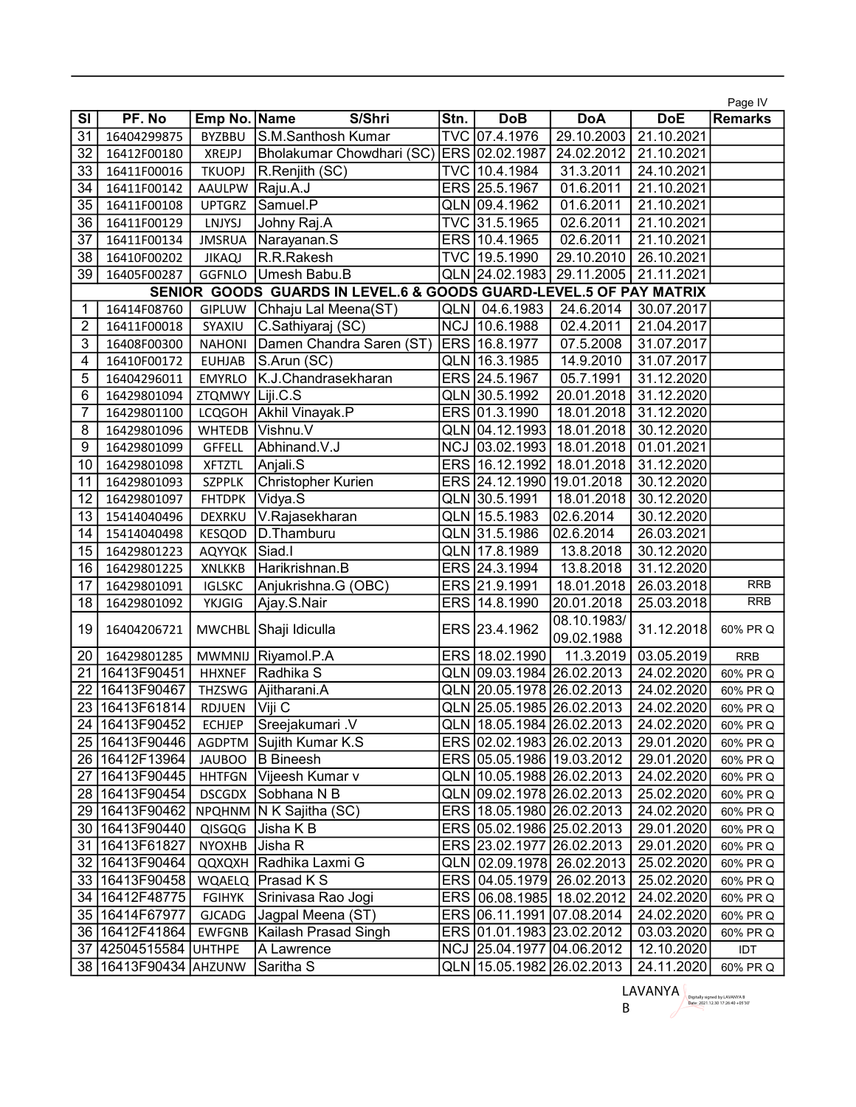|                |                           |                 |                                                                    |            |                               |                           |            | Page IV        |
|----------------|---------------------------|-----------------|--------------------------------------------------------------------|------------|-------------------------------|---------------------------|------------|----------------|
| SI             | PF. No                    | Emp No. Name    | S/Shri                                                             | Stn.       | <b>DoB</b>                    | <b>DoA</b>                | <b>DoE</b> | <b>Remarks</b> |
| 31             | 16404299875               | <b>BYZBBU</b>   | S.M.Santhosh Kumar                                                 |            | TVC 07.4.1976                 | 29.10.2003                | 21.10.2021 |                |
| 32             | 16412F00180               | <b>XREJPJ</b>   | Bholakumar Chowdhari (SC)                                          |            | ERS 02.02.1987                | 24.02.2012                | 21.10.2021 |                |
| 33             | 16411F00016               | <b>TKUOPJ</b>   | R.Renjith (SC)                                                     |            | TVC 10.4.1984                 | 31.3.2011                 | 24.10.2021 |                |
| 34             | 16411F00142               | AAULPW          | Raju.A.J                                                           |            | ERS 25.5.1967                 | 01.6.2011                 | 21.10.2021 |                |
| 35             | 16411F00108               | <b>UPTGRZ</b>   | Samuel.P                                                           |            | QLN 09.4.1962                 | 01.6.2011                 | 21.10.2021 |                |
| 36             | 16411F00129               | LNJYSJ          | Johny Raj.A                                                        |            | TVC 31.5.1965                 | 02.6.2011                 | 21.10.2021 |                |
| 37             | 16411F00134               | <b>JMSRUA</b>   | Narayanan.S                                                        |            | ERS 10.4.1965                 | 02.6.2011                 | 21.10.2021 |                |
| 38             | 16410F00202               | <b>JIKAQJ</b>   | R.R.Rakesh                                                         |            | TVC 19.5.1990                 | 29.10.2010                | 26.10.2021 |                |
| 39             | 16405F00287               | GGFNLO          | Umesh Babu.B                                                       |            | QLN 24.02.1983                | 29.11.2005                | 21.11.2021 |                |
|                |                           |                 | SENIOR GOODS GUARDS IN LEVEL.6 & GOODS GUARD-LEVEL.5 OF PAY MATRIX |            |                               |                           |            |                |
| 1              | 16414F08760               | GIPLUW          | Chhaju Lal Meena(ST)                                               |            | QLN 04.6.1983                 | 24.6.2014                 | 30.07.2017 |                |
| $\overline{c}$ | 16411F00018               | SYAXIU          | C.Sathiyaraj (SC)                                                  | <b>NCJ</b> | 10.6.1988                     | 02.4.2011                 | 21.04.2017 |                |
| 3              | 16408F00300               | <b>NAHONI</b>   | Damen Chandra Saren (ST)                                           |            | ERS 16.8.1977                 | 07.5.2008                 | 31.07.2017 |                |
| 4              | 16410F00172               | <b>EUHJAB</b>   | S.Arun (SC)                                                        |            | QLN 16.3.1985                 | 14.9.2010                 | 31.07.2017 |                |
| 5              | 16404296011               | <b>EMYRLO</b>   | K.J.Chandrasekharan                                                |            | ERS 24.5.1967                 | 05.7.1991                 | 31.12.2020 |                |
| 6              | 16429801094               | ZTQMWY Liji.C.S |                                                                    |            | QLN 30.5.1992                 | 20.01.2018                | 31.12.2020 |                |
| 7              | 16429801100               |                 | LCQGOH Akhil Vinayak.P                                             |            | ERS 01.3.1990                 | 18.01.2018                | 31.12.2020 |                |
| 8              | 16429801096               | <b>WHTEDB</b>   | Vishnu.V                                                           |            | QLN 04.12.1993                | 18.01.2018                | 30.12.2020 |                |
| 9              | 16429801099               | <b>GFFELL</b>   | Abhinand.V.J                                                       |            | NCJ 03.02.1993                | 18.01.2018                | 01.01.2021 |                |
| 10             | 16429801098               | <b>XFTZTL</b>   | Anjali.S                                                           |            | ERS 16.12.1992                | 18.01.2018                | 31.12.2020 |                |
| 11             | 16429801093               | <b>SZPPLK</b>   | Christopher Kurien                                                 |            | ERS 24.12.1990                | 19.01.2018                | 30.12.2020 |                |
| 12             | 16429801097               | <b>FHTDPK</b>   | Vidya.S                                                            |            | QLN 30.5.1991                 | 18.01.2018                | 30.12.2020 |                |
| 13             | 15414040496               | DEXRKU          | V.Rajasekharan                                                     |            | QLN 15.5.1983                 | 02.6.2014                 | 30.12.2020 |                |
| 14             | 15414040498               | KESQOD          | D. Thamburu                                                        |            | QLN 31.5.1986                 | 02.6.2014                 | 26.03.2021 |                |
| 15             | 16429801223               | AQYYQK          | Siad.l                                                             |            | QLN 17.8.1989                 | 13.8.2018                 | 30.12.2020 |                |
| 16             | 16429801225               | <b>XNLKKB</b>   | Harikrishnan.B                                                     |            | ERS 24.3.1994                 | 13.8.2018                 | 31.12.2020 |                |
| 17             | 16429801091               | <b>IGLSKC</b>   | Anjukrishna.G (OBC)                                                |            | ERS 21.9.1991                 | 18.01.2018                | 26.03.2018 | <b>RRB</b>     |
| 18             | 16429801092               | YKJGIG          | Ajay.S.Nair                                                        |            | ERS 14.8.1990                 | 20.01.2018                | 25.03.2018 | <b>RRB</b>     |
| 19             | 16404206721               |                 | MWCHBL Shaji Idiculla                                              |            | ERS 23.4.1962                 | 08.10.1983/<br>09.02.1988 | 31.12.2018 | 60% PR Q       |
| 20             | 16429801285               | MWMNIJ          | Riyamol.P.A                                                        |            | ERS 18.02.1990                | 11.3.2019                 | 03.05.2019 | <b>RRB</b>     |
| 21             | 16413F90451               | <b>HHXNEF</b>   | Radhika S                                                          |            | QLN 09.03.1984 26.02.2013     |                           | 24.02.2020 | 60% PR Q       |
| 22             | 16413F90467               | THZSWG          | Ajitharani.A                                                       |            | QLN 20.05.1978 26.02.2013     |                           | 24.02.2020 | 60% PR Q       |
| 23             | 16413F61814               | RDJUEN          | Viji C                                                             |            | QLN 25.05.1985 26.02.2013     |                           | 24.02.2020 | 60% PR Q       |
|                | 24   16413F90452          | <b>ECHJEP</b>   | Sreejakumari .V                                                    |            | QLN 18.05.1984 26.02.2013     |                           | 24.02.2020 | 60% PR Q       |
|                | 25   16413 F90446         | AGDPTM          | Sujith Kumar K.S                                                   |            | ERS 02.02.1983 26.02.2013     |                           | 29.01.2020 | 60% PR Q       |
|                | 26 16412F13964            | JAUBOO          | B Bineesh                                                          |            | ERS 05.05.1986 19.03.2012     |                           | 29.01.2020 | 60% PR Q       |
| 27             | 16413F90445               |                 | HHTFGN   Vijeesh Kumar v                                           |            | QLN   10.05.1988   26.02.2013 |                           | 24.02.2020 | 60% PR Q       |
|                | 28 16413F90454            | DSCGDX          | Sobhana N B                                                        |            | QLN 09.02.1978 26.02.2013     |                           | 25.02.2020 | 60% PR Q       |
|                | 29 16413F90462            |                 | NPQHNM   N K Sajitha (SC)                                          |            | ERS 18.05.1980 26.02.2013     |                           | 24.02.2020 | 60% PR Q       |
|                | 30 16413F90440            | QISGQG          | Jisha K B                                                          |            | ERS 05.02.1986 25.02.2013     |                           | 29.01.2020 | 60% PR Q       |
| 31             | 16413F61827               | NYOXHB Jisha R  |                                                                    |            | ERS 23.02.1977 26.02.2013     |                           | 29.01.2020 | 60% PR Q       |
|                | 32 16413F90464            |                 | QQXQXH Radhika Laxmi G                                             |            |                               | QLN 02.09.1978 26.02.2013 | 25.02.2020 | 60% PR Q       |
|                | 33   16413 F90458         |                 | WQAELQ   Prasad K S                                                |            |                               | ERS 04.05.1979 26.02.2013 | 25.02.2020 | 60% PR Q       |
|                | 34   16412F48775          | FGIHYK          | Srinivasa Rao Jogi                                                 |            | ERS 06.08.1985 18.02.2012     |                           | 24.02.2020 | 60% PR Q       |
|                | 35   16414 F67977         | <b>GJCADG</b>   | Jagpal Meena (ST)                                                  |            | ERS 06.11.1991 07.08.2014     |                           | 24.02.2020 | 60% PR Q       |
|                | 36   16412F41864          | EWFGNB          | Kailash Prasad Singh                                               |            | ERS 01.01.1983 23.02.2012     |                           | 03.03.2020 | 60% PR Q       |
| 37             | 42504515584               | <b>UHTHPE</b>   | A Lawrence                                                         |            | NCJ 25.04.1977 04.06.2012     |                           | 12.10.2020 | IDT            |
|                | 38   16413F90434   AHZUNW |                 | Saritha S                                                          |            | QLN 15.05.1982 26.02.2013     |                           | 24.11.2020 | 60% PR Q       |

LAVANYA Digitally signed by LAVANYA B<br>B